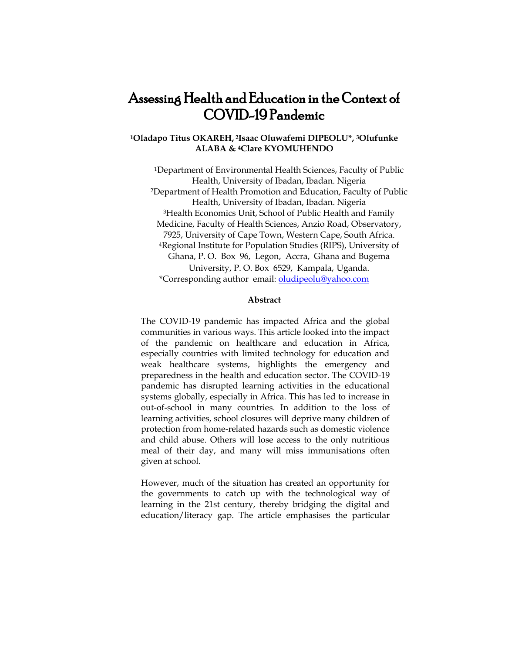# Assessing Health and Education in the Context of COVID-19 Pandemic

# **<sup>1</sup>Oladapo Titus OKAREH, <sup>2</sup>Isaac Oluwafemi DIPEOLU\*, 3Olufunke ALABA & <sup>4</sup>Clare KYOMUHENDO**

<sup>1</sup>Department of Environmental Health Sciences, Faculty of Public Health, University of Ibadan, Ibadan. Nigeria <sup>2</sup>Department of Health Promotion and Education, Faculty of Public Health, University of Ibadan, Ibadan. Nigeria <sup>3</sup>Health Economics Unit, School of Public Health and Family Medicine, Faculty of Health Sciences, Anzio Road, Observatory, 7925, University of Cape Town, Western Cape, South Africa. <sup>4</sup>Regional Institute for Population Studies (RIPS), University of Ghana, P. O. Box 96, Legon, Accra, Ghana and Bugema University, P. O. Box 6529, Kampala, Uganda. \*Corresponding author email[: oludipeolu@yahoo.com](mailto:oludipeolu@yahoo.com)

## **Abstract**

The COVID-19 pandemic has impacted Africa and the global communities in various ways. This article looked into the impact of the pandemic on healthcare and education in Africa, especially countries with limited technology for education and weak healthcare systems, highlights the emergency and preparedness in the health and education sector. The COVID-19 pandemic has disrupted learning activities in the educational systems globally, especially in Africa. This has led to increase in out-of-school in many countries. In addition to the loss of learning activities, school closures will deprive many children of protection from home-related hazards such as domestic violence and child abuse. Others will lose access to the only nutritious meal of their day, and many will miss immunisations often given at school.

However, much of the situation has created an opportunity for the governments to catch up with the technological way of learning in the 21st century, thereby bridging the digital and education/literacy gap. The article emphasises the particular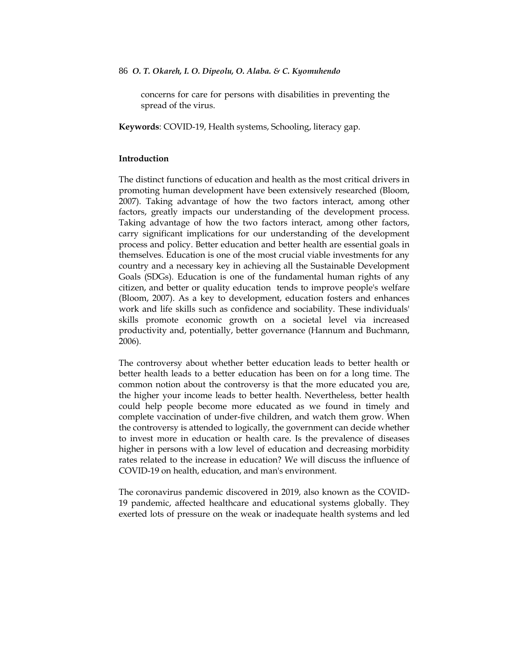concerns for care for persons with disabilities in preventing the spread of the virus.

**Keywords**: COVID-19, Health systems, Schooling, literacy gap.

# **Introduction**

The distinct functions of education and health as the most critical drivers in promoting human development have been extensively researched (Bloom, 2007). Taking advantage of how the two factors interact, among other factors, greatly impacts our understanding of the development process. Taking advantage of how the two factors interact, among other factors, carry significant implications for our understanding of the development process and policy. Better education and better health are essential goals in themselves. Education is one of the most crucial viable investments for any country and a necessary key in achieving all the Sustainable Development Goals (SDGs). Education is one of the fundamental human rights of any citizen, and better or quality education tends to improve people's welfare (Bloom, 2007). As a key to development, education fosters and enhances work and life skills such as confidence and sociability. These individuals' skills promote economic growth on a societal level via increased productivity and, potentially, better governance (Hannum and Buchmann, 2006).

The controversy about whether better education leads to better health or better health leads to a better education has been on for a long time. The common notion about the controversy is that the more educated you are, the higher your income leads to better health. Nevertheless, better health could help people become more educated as we found in timely and complete vaccination of under-five children, and watch them grow. When the controversy is attended to logically, the government can decide whether to invest more in education or health care. Is the prevalence of diseases higher in persons with a low level of education and decreasing morbidity rates related to the increase in education? We will discuss the influence of COVID-19 on health, education, and man's environment.

The coronavirus pandemic discovered in 2019, also known as the COVID-19 pandemic, affected healthcare and educational systems globally. They exerted lots of pressure on the weak or inadequate health systems and led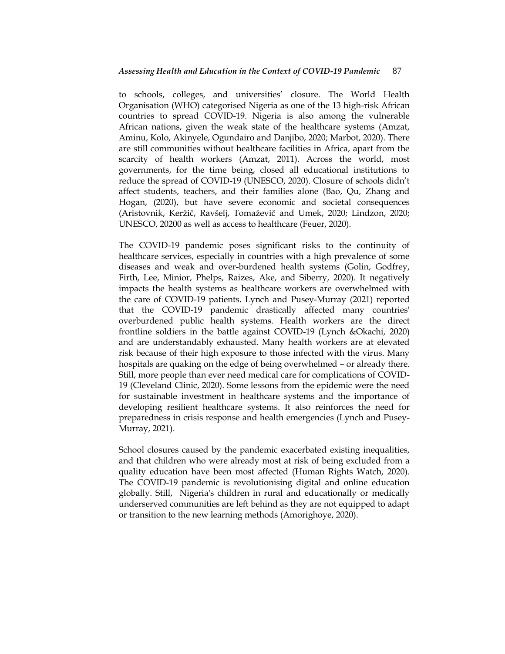to schools, colleges, and universities' closure. The World Health Organisation (WHO) categorised Nigeria as one of the 13 high-risk African countries to spread COVID-19. Nigeria is also among the vulnerable African nations, given the weak state of the healthcare systems (Amzat, Aminu, Kolo, Akinyele, Ogundairo and Danjibo, 2020; Marbot, 2020). There are still communities without healthcare facilities in Africa, apart from the scarcity of health workers (Amzat, 2011). Across the world, most governments, for the time being, closed all educational institutions to reduce the spread of COVID-19 (UNESCO, 2020). Closure of schools didn"t affect students, teachers, and their families alone (Bao, Qu, Zhang and Hogan, (2020), but have severe economic and societal consequences (Aristovnik, Keržič, Ravšelj, Tomaževič and Umek, 2020; Lindzon, 2020; UNESCO, 20200 as well as access to healthcare (Feuer, 2020).

The COVID-19 pandemic poses significant risks to the continuity of healthcare services, especially in countries with a high prevalence of some diseases and weak and over-burdened health systems (Golin, Godfrey, Firth, Lee, Minior, Phelps, Raizes, Ake, and Siberry, 2020). It negatively impacts the health systems as healthcare workers are overwhelmed with the care of COVID-19 patients. Lynch and Pusey-Murray (2021) reported that the COVID-19 pandemic drastically affected many countries' overburdened public health systems. Health workers are the direct frontline soldiers in the battle against COVID-19 (Lynch &Okachi, 2020) and are understandably exhausted. Many health workers are at elevated risk because of their high exposure to those infected with the virus. Many hospitals are quaking on the edge of being overwhelmed – or already there. Still, more people than ever need medical care for complications of COVID-19 (Cleveland Clinic, 2020). Some lessons from the epidemic were the need for sustainable investment in healthcare systems and the importance of developing resilient healthcare systems. It also reinforces the need for preparedness in crisis response and health emergencies (Lynch and Pusey-Murray, 2021).

School closures caused by the pandemic exacerbated existing inequalities, and that children who were already most at risk of being excluded from a quality education have been most affected (Human Rights Watch, 2020). The COVID-19 pandemic is revolutionising digital and online education globally. Still, Nigeria's children in rural and educationally or medically underserved communities are left behind as they are not equipped to adapt or transition to the new learning methods (Amorighoye, 2020).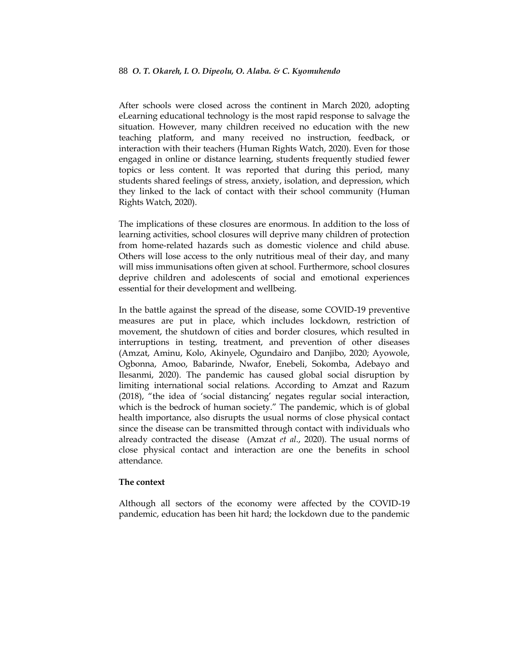After schools were closed across the continent in March 2020, adopting eLearning educational technology is the most rapid response to salvage the situation. However, many children received no education with the new teaching platform, and many received no instruction, feedback, or interaction with their teachers (Human Rights Watch, 2020). Even for those engaged in online or distance learning, students frequently studied fewer topics or less content. It was reported that during this period, many students shared feelings of stress, anxiety, isolation, and depression, which they linked to the lack of contact with their school community (Human Rights Watch, 2020).

The implications of these closures are enormous. In addition to the loss of learning activities, school closures will deprive many children of protection from home-related hazards such as domestic violence and child abuse. Others will lose access to the only nutritious meal of their day, and many will miss immunisations often given at school. Furthermore, school closures deprive children and adolescents of social and emotional experiences essential for their development and wellbeing.

In the battle against the spread of the disease, some COVID-19 preventive measures are put in place, which includes lockdown, restriction of movement, the shutdown of cities and border closures, which resulted in interruptions in testing, treatment, and prevention of other diseases (Amzat, Aminu, Kolo, Akinyele, Ogundairo and Danjibo, 2020; Ayowole, Ogbonna, Amoo, Babarinde, Nwafor, Enebeli, Sokomba, Adebayo and Ilesanmi, 2020). The pandemic has caused global social disruption by limiting international social relations. According to Amzat and Razum (2018), "the idea of "social distancing" negates regular social interaction, which is the bedrock of human society." The pandemic, which is of global health importance, also disrupts the usual norms of close physical contact since the disease can be transmitted through contact with individuals who already contracted the disease (Amzat *et al*., 2020). The usual norms of close physical contact and interaction are one the benefits in school attendance.

# **The context**

Although all sectors of the economy were affected by the COVID-19 pandemic, education has been hit hard; the lockdown due to the pandemic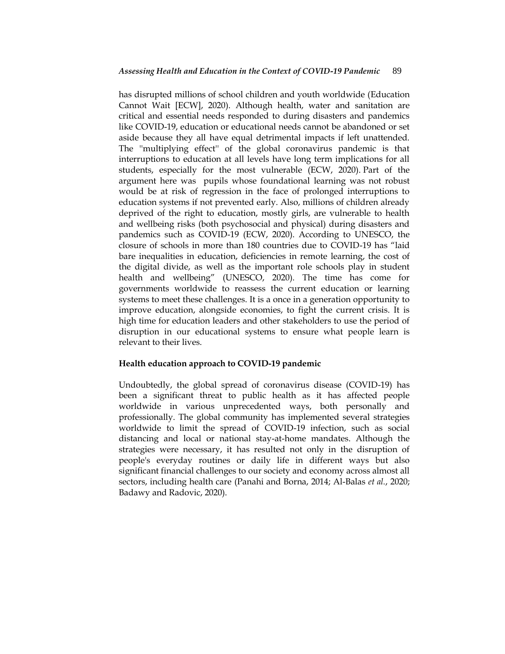has disrupted millions of school children and youth worldwide (Education Cannot Wait [ECW], 2020). Although health, water and sanitation are critical and essential needs responded to during disasters and pandemics like COVID-19, education or educational needs cannot be abandoned or set aside because they all have equal detrimental impacts if left unattended. The ''multiplying effect'' of the global coronavirus pandemic is that interruptions to education at all levels have long term implications for all students, especially for the most vulnerable (ECW, 2020). Part of the argument here was pupils whose foundational learning was not robust would be at risk of regression in the face of prolonged interruptions to education systems if not prevented early. Also, millions of children already deprived of the right to education, mostly girls, are vulnerable to health and wellbeing risks (both psychosocial and physical) during disasters and pandemics such as COVID-19 (ECW, 2020). According to UNESCO, the closure of schools in more than 180 countries due to COVID-19 has "laid bare inequalities in education, deficiencies in remote learning, the cost of the digital divide, as well as the important role schools play in student health and wellbeing" (UNESCO, 2020). The time has come for governments worldwide to reassess the current education or learning systems to meet these challenges. It is a once in a generation opportunity to improve education, alongside economies, to fight the current crisis. It is high time for education leaders and other stakeholders to use the period of disruption in our educational systems to ensure what people learn is relevant to their lives.

# **Health education approach to COVID-19 pandemic**

Undoubtedly, the global spread of coronavirus disease (COVID-19) has been a significant threat to public health as it has affected people worldwide in various unprecedented ways, both personally and professionally. The global community has implemented several strategies worldwide to limit the spread of COVID-19 infection, such as social distancing and local or national stay-at-home mandates. Although the strategies were necessary, it has resulted not only in the disruption of people's everyday routines or daily life in different ways but also significant financial challenges to our society and economy across almost all sectors, including health care (Panahi and Borna, 2014; Al-Balas *et al.*, 2020; Badawy and Radovic, 2020).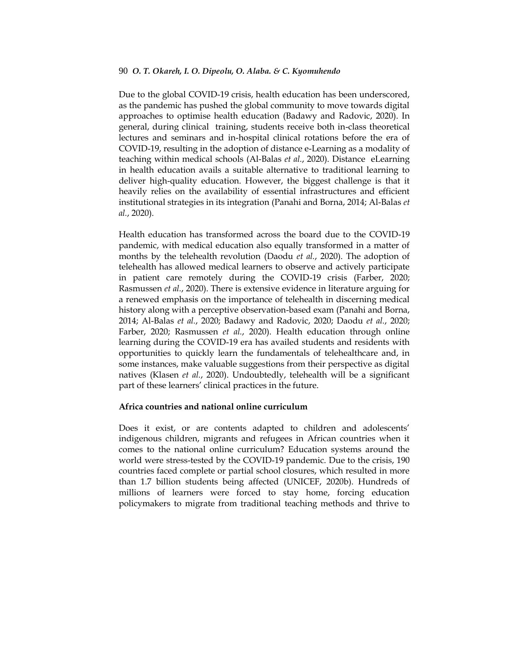Due to the global COVID-19 crisis, health education has been underscored, as the pandemic has pushed the global community to move towards digital approaches to optimise health education (Badawy and Radovic, 2020). In general, during clinical training, students receive both in-class theoretical lectures and seminars and in-hospital clinical rotations before the era of COVID-19, resulting in the adoption of distance e-Learning as a modality of teaching within medical schools (Al-Balas *et al.*, 2020). Distance eLearning in health education avails a suitable alternative to traditional learning to deliver high-quality education. However, the biggest challenge is that it heavily relies on the availability of essential infrastructures and efficient institutional strategies in its integration (Panahi and Borna, 2014; Al-Balas *et al.*, 2020).

Health education has transformed across the board due to the COVID-19 pandemic, with medical education also equally transformed in a matter of months by the telehealth revolution (Daodu *et al.*, 2020). The adoption of telehealth has allowed medical learners to observe and actively participate in patient care remotely during the COVID-19 crisis (Farber, 2020; Rasmussen *et al.*, 2020). There is extensive evidence in literature arguing for a renewed emphasis on the importance of telehealth in discerning medical history along with a perceptive observation-based exam (Panahi and Borna, 2014; Al-Balas *et al.*, 2020; Badawy and Radovic, 2020; Daodu *et al.*, 2020; Farber, 2020; Rasmussen *et al.*, 2020). Health education through online learning during the COVID-19 era has availed students and residents with opportunities to quickly learn the fundamentals of telehealthcare and, in some instances, make valuable suggestions from their perspective as digital natives (Klasen *et al.*, 2020). Undoubtedly, telehealth will be a significant part of these learners' clinical practices in the future.

# **Africa countries and national online curriculum**

Does it exist, or are contents adapted to children and adolescents' indigenous children, migrants and refugees in African countries when it comes to the national online curriculum? Education systems around the world were stress-tested by the COVID-19 pandemic. Due to the crisis, 190 countries faced complete or partial school closures, which resulted in more than 1.7 billion students being affected (UNICEF, 2020b). Hundreds of millions of learners were forced to stay home, forcing education policymakers to migrate from traditional teaching methods and thrive to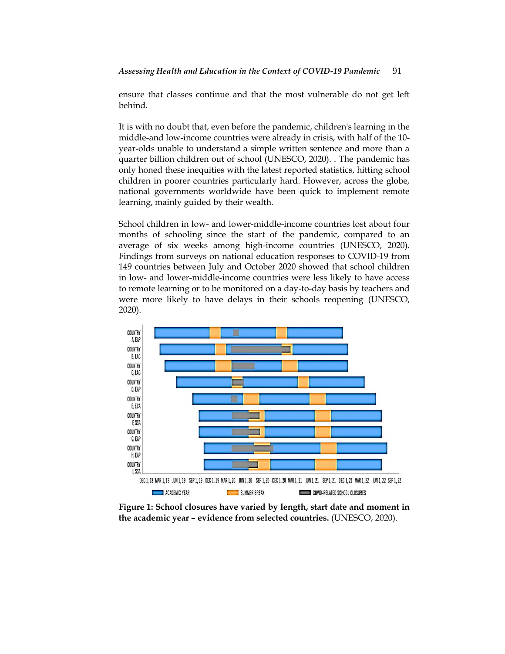ensure that classes continue and that the most vulnerable do not get left behind.

It is with no doubt that, even before the pandemic, children's learning in the middle-and low-income countries were already in crisis, with half of the 10 year-olds unable to understand a simple written sentence and more than a quarter billion children out of school (UNESCO, 2020). . The pandemic has only honed these inequities with the latest reported statistics, hitting school children in poorer countries particularly hard. However, across the globe, national governments worldwide have been quick to implement remote learning, mainly guided by their wealth.

School children in low- and lower-middle-income countries lost about four months of schooling since the start of the pandemic, compared to an average of six weeks among high-income countries (UNESCO, 2020). Findings from surveys on national education responses to COVID-19 from 149 countries between July and October 2020 showed that school children in low- and lower-middle-income countries were less likely to have access to remote learning or to be monitored on a day-to-day basis by teachers and were more likely to have delays in their schools reopening (UNESCO, 2020).



**Figure 1: School closures have varied by length, start date and moment in the academic year – evidence from selected countries.** (UNESCO, 2020).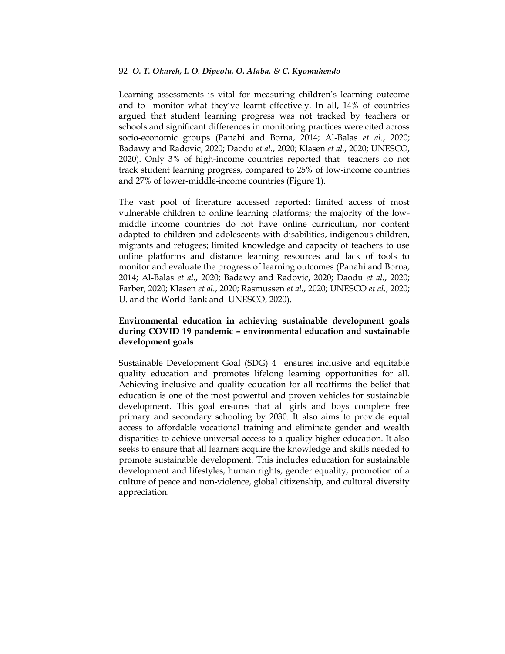Learning assessments is vital for measuring children's learning outcome and to monitor what they"ve learnt effectively. In all, 14% of countries argued that student learning progress was not tracked by teachers or schools and significant differences in monitoring practices were cited across socio-economic groups (Panahi and Borna, 2014; Al-Balas *et al.*, 2020; Badawy and Radovic, 2020; Daodu *et al.*, 2020; Klasen *et al.*, 2020; UNESCO, 2020). Only 3% of high-income countries reported that teachers do not track student learning progress, compared to 25% of low-income countries and 27% of lower-middle-income countries (Figure 1).

The vast pool of literature accessed reported: limited access of most vulnerable children to online learning platforms; the majority of the lowmiddle income countries do not have online curriculum, nor content adapted to children and adolescents with disabilities, indigenous children, migrants and refugees; limited knowledge and capacity of teachers to use online platforms and distance learning resources and lack of tools to monitor and evaluate the progress of learning outcomes (Panahi and Borna, 2014; Al-Balas *et al.*, 2020; Badawy and Radovic, 2020; Daodu *et al.*, 2020; Farber, 2020; Klasen *et al.*, 2020; Rasmussen *et al.*, 2020; UNESCO *et al*., 2020; U. and the World Bank and UNESCO, 2020).

# **Environmental education in achieving sustainable development goals during COVID 19 pandemic – environmental education and sustainable development goals**

Sustainable Development Goal (SDG) 4 ensures inclusive and equitable quality education and promotes lifelong learning opportunities for all. Achieving inclusive and quality education for all reaffirms the belief that education is one of the most powerful and proven vehicles for sustainable development. This goal ensures that all girls and boys complete free primary and secondary schooling by 2030. It also aims to provide equal access to affordable vocational training and eliminate gender and wealth disparities to achieve universal access to a quality higher education. It also seeks to ensure that all learners acquire the knowledge and skills needed to promote sustainable development. This includes education for sustainable development and lifestyles, human rights, gender equality, promotion of a culture of peace and non-violence, global citizenship, and cultural diversity appreciation.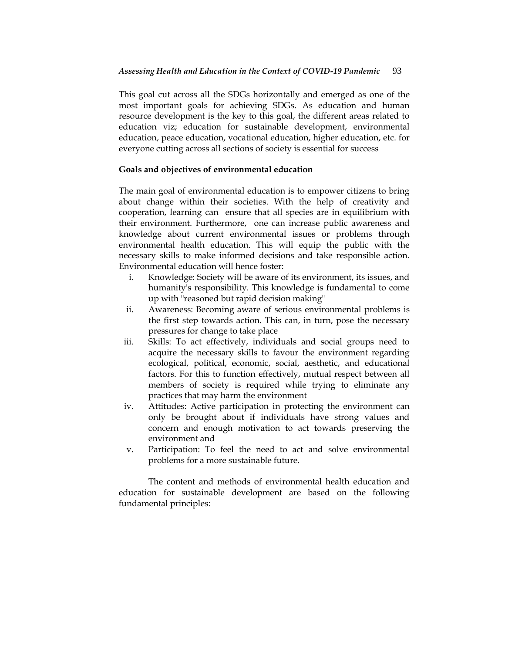This goal cut across all the SDGs horizontally and emerged as one of the most important goals for achieving SDGs. As education and human resource development is the key to this goal, the different areas related to education viz; education for sustainable development, environmental education, peace education, vocational education, higher education, etc. for everyone cutting across all sections of society is essential for success

# **Goals and objectives of environmental education**

The main goal of environmental education is to empower citizens to bring about change within their societies. With the help of creativity and cooperation, learning can ensure that all species are in equilibrium with their environment. Furthermore, one can increase public awareness and knowledge about current environmental issues or problems through environmental health education. This will equip the public with the necessary skills to make informed decisions and take responsible action. Environmental education will hence foster:

- i. Knowledge: Society will be aware of its environment, its issues, and humanity's responsibility. This knowledge is fundamental to come up with "reasoned but rapid decision making"
- ii. Awareness: Becoming aware of serious environmental problems is the first step towards action. This can, in turn, pose the necessary pressures for change to take place
- iii. Skills: To act effectively, individuals and social groups need to acquire the necessary skills to favour the environment regarding ecological, political, economic, social, aesthetic, and educational factors. For this to function effectively, mutual respect between all members of society is required while trying to eliminate any practices that may harm the environment
- iv. Attitudes: Active participation in protecting the environment can only be brought about if individuals have strong values and concern and enough motivation to act towards preserving the environment and
- v. Participation: To feel the need to act and solve environmental problems for a more sustainable future.

The content and methods of environmental health education and education for sustainable development are based on the following fundamental principles: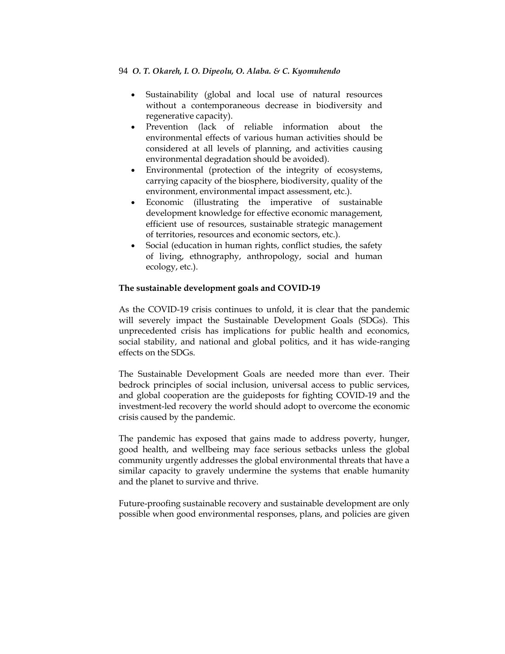- Sustainability (global and local use of natural resources without a contemporaneous decrease in biodiversity and regenerative capacity).
- Prevention (lack of reliable information about the environmental effects of various human activities should be considered at all levels of planning, and activities causing environmental degradation should be avoided).
- Environmental (protection of the integrity of ecosystems, carrying capacity of the biosphere, biodiversity, quality of the environment, environmental impact assessment, etc.).
- Economic (illustrating the imperative of sustainable development knowledge for effective economic management, efficient use of resources, sustainable strategic management of territories, resources and economic sectors, etc.).
- Social (education in human rights, conflict studies, the safety of living, ethnography, anthropology, social and human ecology, etc.).

# **The sustainable development goals and COVID-19**

As the COVID-19 crisis continues to unfold, it is clear that the pandemic will severely impact the Sustainable Development Goals (SDGs). This unprecedented crisis has implications for public health and economics, social stability, and national and global politics, and it has wide-ranging effects on the SDGs.

The Sustainable Development Goals are needed more than ever. Their bedrock principles of social inclusion, universal access to public services, and global cooperation are the guideposts for fighting COVID-19 and the investment-led recovery the world should adopt to overcome the economic crisis caused by the pandemic.

The pandemic has exposed that gains made to address poverty, hunger, good health, and wellbeing may face serious setbacks unless the global community urgently addresses the global environmental threats that have a similar capacity to gravely undermine the systems that enable humanity and the planet to survive and thrive.

Future-proofing sustainable recovery and sustainable development are only possible when good environmental responses, plans, and policies are given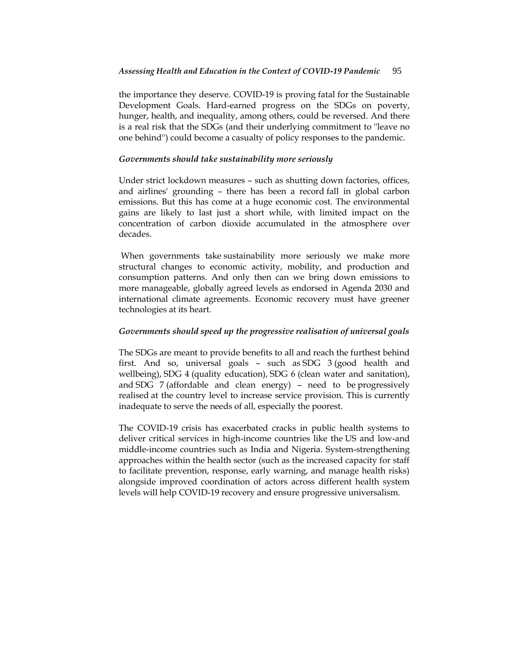the importance they deserve. COVID-19 is proving fatal for the Sustainable Development Goals. Hard-earned progress on the SDGs on poverty, hunger, health, and inequality, among others, could be reversed. And there is a real risk that the SDGs (and their underlying commitment to ''leave no one behind'') could become a casualty of policy responses to the pandemic.

# *Governments should take sustainability more seriously*

Under strict lockdown measures – such as shutting down factories, offices, and airlines' grounding – there has been a record fall in global carbon emissions. But this has come at a huge economic cost. The environmental gains are likely to last just a short while, with limited impact on the concentration of carbon dioxide accumulated in the atmosphere over decades.

When governments take sustainability more seriously we make more structural changes to economic activity, mobility, and production and consumption patterns. And only then can we bring down emissions to more manageable, globally agreed levels as endorsed in Agenda 2030 and international climate agreements. Economic recovery must have greener technologies at its heart.

# *Governments should speed up the progressive realisation of universal goals*

The SDGs are meant to provide benefits to all and reach the furthest behind first. And so, universal goals – such as SDG 3 (good health and wellbeing), SDG 4 (quality education), SDG 6 (clean water and sanitation), and SDG 7 (affordable and clean energy) – need to be progressively realised at the country level to increase service provision. This is currently inadequate to serve the needs of all, especially the poorest.

The COVID-19 crisis has exacerbated cracks in public health systems to deliver critical services in high-income countries like the US and low-and middle-income countries such as India and Nigeria. System-strengthening approaches within the health sector (such as the increased capacity for staff to facilitate prevention, response, early warning, and manage health risks) alongside improved coordination of actors across different health system levels will help COVID-19 recovery and ensure progressive universalism.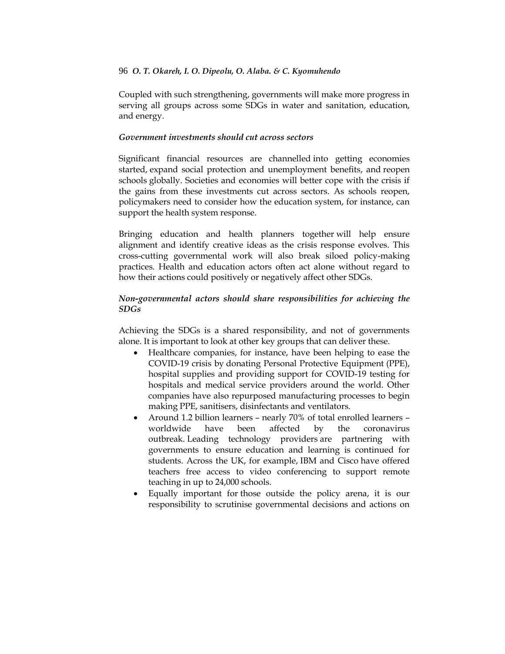Coupled with such strengthening, governments will make more progress in serving all groups across some SDGs in water and sanitation, education, and energy.

# *Government investments should cut across sectors*

Significant financial resources are channelled into getting economies started, expand social protection and unemployment benefits, and reopen schools globally. Societies and economies will better cope with the crisis if the gains from these investments cut across sectors. As schools reopen, policymakers need to consider how the education system, for instance, can support the health system response.

Bringing education and health planners together will help ensure alignment and identify creative ideas as the crisis response evolves. This cross-cutting governmental work will also break siloed policy-making practices. Health and education actors often act alone without regard to how their actions could positively or negatively affect other SDGs.

# *Non-governmental actors should share responsibilities for achieving the SDGs*

Achieving the SDGs is a shared responsibility, and not of governments alone. It is important to look at other key groups that can deliver these.

- Healthcare companies, for instance, have been helping to ease the COVID-19 crisis by donating Personal Protective Equipment (PPE), hospital supplies and providing support for COVID-19 testing for hospitals and medical service providers around the world. Other companies have also repurposed manufacturing processes to begin making PPE, sanitisers, disinfectants and ventilators.
- Around 1.2 billion learners nearly 70% of total enrolled learners worldwide have been affected by the coronavirus outbreak. Leading technology providers are partnering with governments to ensure education and learning is continued for students. Across the UK, for example, IBM and Cisco have offered teachers free access to video conferencing to support remote teaching in up to 24,000 schools.
- Equally important for those outside the policy arena, it is our responsibility to scrutinise governmental decisions and actions on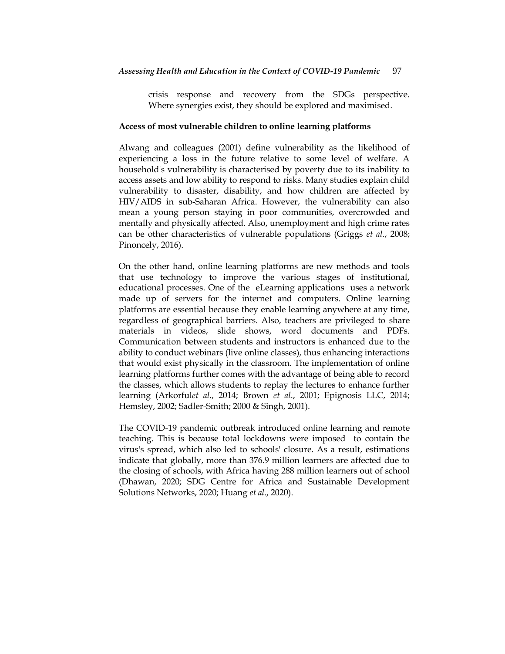crisis response and recovery from the SDGs perspective. Where synergies exist, they should be explored and maximised.

## **Access of most vulnerable children to online learning platforms**

Alwang and colleagues (2001) define vulnerability as the likelihood of experiencing a loss in the future relative to some level of welfare. A household's vulnerability is characterised by poverty due to its inability to access assets and low ability to respond to risks. Many studies explain child vulnerability to disaster, disability, and how children are affected by HIV/AIDS in sub-Saharan Africa. However, the vulnerability can also mean a young person staying in poor communities, overcrowded and mentally and physically affected. Also, unemployment and high crime rates can be other characteristics of vulnerable populations (Griggs *et al.*, 2008; Pinoncely, 2016).

On the other hand, online learning platforms are new methods and tools that use technology to improve the various stages of institutional, educational processes. One of the eLearning applications uses a network made up of servers for the internet and computers. Online learning platforms are essential because they enable learning anywhere at any time, regardless of geographical barriers. Also, teachers are privileged to share materials in videos, slide shows, word documents and PDFs. Communication between students and instructors is enhanced due to the ability to conduct webinars (live online classes), thus enhancing interactions that would exist physically in the classroom. The implementation of online learning platforms further comes with the advantage of being able to record the classes, which allows students to replay the lectures to enhance further learning (Arkorful*et al*., 2014; Brown *et al*., 2001; Epignosis LLC, 2014; Hemsley, 2002; Sadler-Smith; 2000 & Singh, 2001).

The COVID-19 pandemic outbreak introduced online learning and remote teaching. This is because total lockdowns were imposed to contain the virus's spread, which also led to schools' closure. As a result, estimations indicate that globally, more than 376.9 million learners are affected due to the closing of schools, with Africa having 288 million learners out of school (Dhawan, 2020; SDG Centre for Africa and Sustainable Development Solutions Networks, 2020; Huang *et al*., 2020).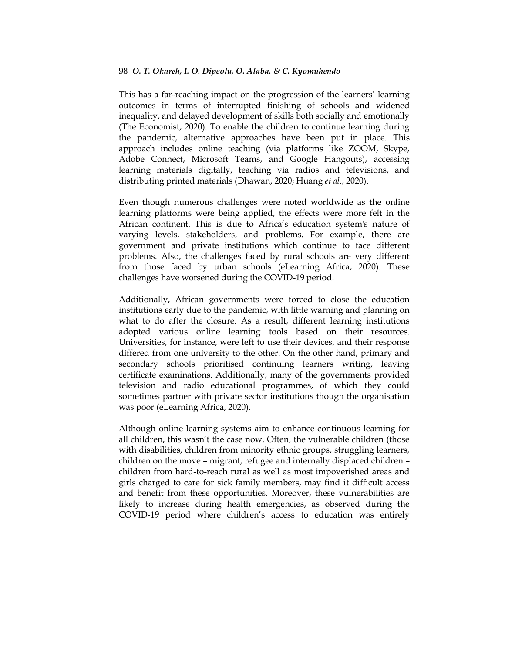This has a far-reaching impact on the progression of the learners' learning outcomes in terms of interrupted finishing of schools and widened inequality, and delayed development of skills both socially and emotionally (The Economist, 2020). To enable the children to continue learning during the pandemic, alternative approaches have been put in place. This approach includes online teaching (via platforms like ZOOM, Skype, Adobe Connect, Microsoft Teams, and Google Hangouts), accessing learning materials digitally, teaching via radios and televisions, and distributing printed materials (Dhawan, 2020; Huang *et al*., 2020).

Even though numerous challenges were noted worldwide as the online learning platforms were being applied, the effects were more felt in the African continent. This is due to Africa"s education system's nature of varying levels, stakeholders, and problems. For example, there are government and private institutions which continue to face different problems. Also, the challenges faced by rural schools are very different from those faced by urban schools (eLearning Africa, 2020). These challenges have worsened during the COVID-19 period.

Additionally, African governments were forced to close the education institutions early due to the pandemic, with little warning and planning on what to do after the closure. As a result, different learning institutions adopted various online learning tools based on their resources. Universities, for instance, were left to use their devices, and their response differed from one university to the other. On the other hand, primary and secondary schools prioritised continuing learners writing, leaving certificate examinations. Additionally, many of the governments provided television and radio educational programmes, of which they could sometimes partner with private sector institutions though the organisation was poor (eLearning Africa, 2020).

Although online learning systems aim to enhance continuous learning for all children, this wasn't the case now. Often, the vulnerable children (those with disabilities, children from minority ethnic groups, struggling learners, children on the move – migrant, refugee and internally displaced children – children from hard-to-reach rural as well as most impoverished areas and girls charged to care for sick family members, may find it difficult access and benefit from these opportunities. Moreover, these vulnerabilities are likely to increase during health emergencies, as observed during the COVID-19 period where children"s access to education was entirely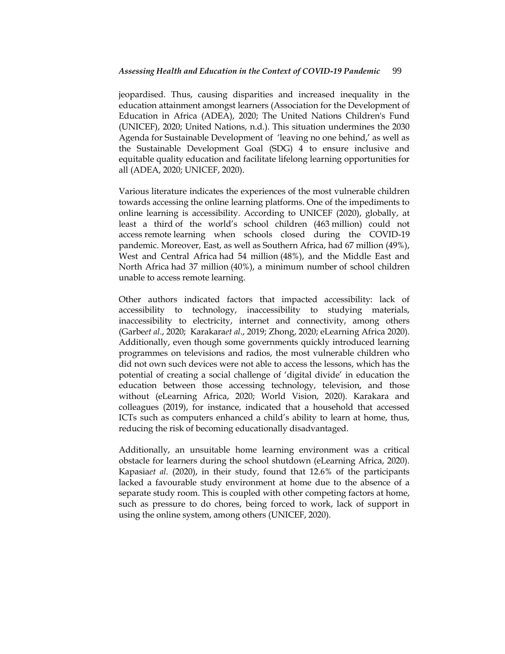jeopardised. Thus, causing disparities and increased inequality in the education attainment amongst learners (Association for the Development of Education in Africa (ADEA), 2020; The United Nations Children's Fund (UNICEF), 2020; United Nations, n.d.). This situation undermines the 2030 Agenda for Sustainable Development of 'leaving no one behind,' as well as the Sustainable Development Goal (SDG) 4 to ensure inclusive and equitable quality education and facilitate lifelong learning opportunities for all (ADEA, 2020; UNICEF, 2020).

Various literature indicates the experiences of the most vulnerable children towards accessing the online learning platforms. One of the impediments to online learning is accessibility. According to UNICEF (2020), globally, at least a third of the world"s school children (463 million) could not access remote learning when schools closed during the COVID-19 pandemic. Moreover, East, as well as Southern Africa, had 67 million (49%), West and Central Africa had 54 million (48%), and the Middle East and North Africa had 37 million (40%), a minimum number of school children unable to access remote learning.

Other authors indicated factors that impacted accessibility: lack of accessibility to technology, inaccessibility to studying materials, inaccessibility to electricity, internet and connectivity, among others (Garbe*et al*., 2020; Karakara*et al*., 2019; Zhong, 2020; eLearning Africa 2020). Additionally, even though some governments quickly introduced learning programmes on televisions and radios, the most vulnerable children who did not own such devices were not able to access the lessons, which has the potential of creating a social challenge of "digital divide" in education the education between those accessing technology, television, and those without (eLearning Africa, 2020; World Vision, 2020). Karakara and colleagues (2019), for instance, indicated that a household that accessed ICTs such as computers enhanced a child"s ability to learn at home, thus, reducing the risk of becoming educationally disadvantaged.

Additionally, an unsuitable home learning environment was a critical obstacle for learners during the school shutdown (eLearning Africa, 2020). Kapasia*et al*. (2020), in their study, found that 12.6% of the participants lacked a favourable study environment at home due to the absence of a separate study room. This is coupled with other competing factors at home, such as pressure to do chores, being forced to work, lack of support in using the online system, among others (UNICEF, 2020).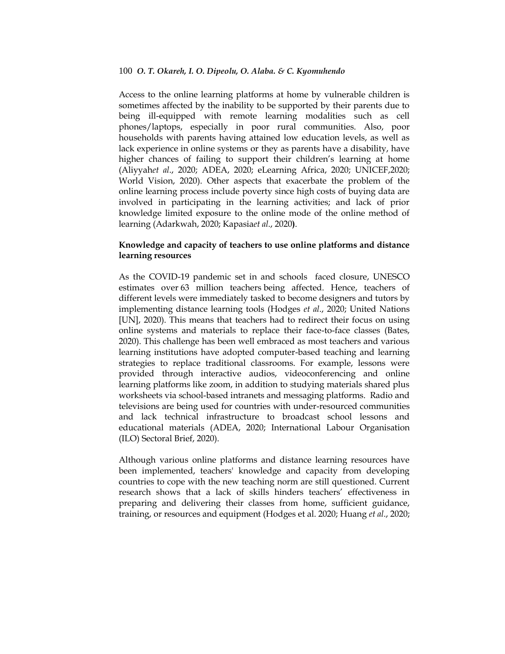Access to the online learning platforms at home by vulnerable children is sometimes affected by the inability to be supported by their parents due to being ill-equipped with remote learning modalities such as cell phones/laptops, especially in poor rural communities. Also, poor households with parents having attained low education levels, as well as lack experience in online systems or they as parents have a disability, have higher chances of failing to support their children's learning at home (Aliyyah*et al*., 2020; ADEA, 2020; eLearning Africa, 2020; UNICEF,2020; World Vision, 2020). Other aspects that exacerbate the problem of the online learning process include poverty since high costs of buying data are involved in participating in the learning activities; and lack of prior knowledge limited exposure to the online mode of the online method of learning (Adarkwah, 2020; Kapasia*et al*., 2020**)**.

# **Knowledge and capacity of teachers to use online platforms and distance learning resources**

As the COVID-19 pandemic set in and schools faced closure, UNESCO estimates over 63 million teachers being affected. Hence, teachers of different levels were immediately tasked to become designers and tutors by implementing distance learning tools (Hodges *et al*., 2020; United Nations [UN], 2020). This means that teachers had to redirect their focus on using online systems and materials to replace their face-to-face classes (Bates, 2020). This challenge has been well embraced as most teachers and various learning institutions have adopted computer-based teaching and learning strategies to replace traditional classrooms. For example, lessons were provided through interactive audios, videoconferencing and online learning platforms like zoom, in addition to studying materials shared plus worksheets via school-based intranets and messaging platforms. Radio and televisions are being used for countries with under-resourced communities and lack technical infrastructure to broadcast school lessons and educational materials (ADEA, 2020; International Labour Organisation (ILO) Sectoral Brief, 2020).

Although various online platforms and distance learning resources have been implemented, teachers' knowledge and capacity from developing countries to cope with the new teaching norm are still questioned. Current research shows that a lack of skills hinders teachers' effectiveness in preparing and delivering their classes from home, sufficient guidance, training, or resources and equipment (Hodges et al. 2020; Huang *et al*., 2020;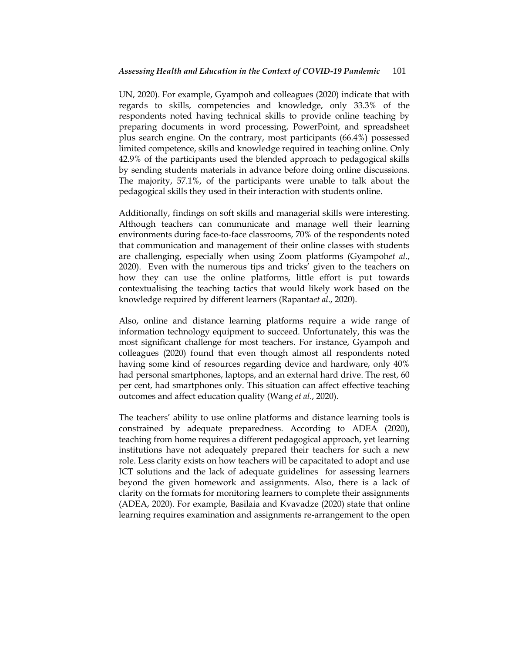UN, 2020). For example, Gyampoh and colleagues (2020) indicate that with regards to skills, competencies and knowledge, only 33.3% of the respondents noted having technical skills to provide online teaching by preparing documents in word processing, PowerPoint, and spreadsheet plus search engine. On the contrary, most participants (66.4%) possessed limited competence, skills and knowledge required in teaching online. Only 42.9% of the participants used the blended approach to pedagogical skills by sending students materials in advance before doing online discussions. The majority, 57.1%, of the participants were unable to talk about the pedagogical skills they used in their interaction with students online.

Additionally, findings on soft skills and managerial skills were interesting. Although teachers can communicate and manage well their learning environments during face-to-face classrooms, 70% of the respondents noted that communication and management of their online classes with students are challenging, especially when using Zoom platforms (Gyampoh*et al*., 2020). Even with the numerous tips and tricks" given to the teachers on how they can use the online platforms, little effort is put towards contextualising the teaching tactics that would likely work based on the knowledge required by different learners (Rapanta*et al*., 2020).

Also, online and distance learning platforms require a wide range of information technology equipment to succeed. Unfortunately, this was the most significant challenge for most teachers. For instance, Gyampoh and colleagues (2020) found that even though almost all respondents noted having some kind of resources regarding device and hardware, only 40% had personal smartphones, laptops, and an external hard drive. The rest, 60 per cent, had smartphones only. This situation can affect effective teaching outcomes and affect education quality (Wang *et al*., 2020).

The teachers" ability to use online platforms and distance learning tools is constrained by adequate preparedness. According to ADEA (2020), teaching from home requires a different pedagogical approach, yet learning institutions have not adequately prepared their teachers for such a new role. Less clarity exists on how teachers will be capacitated to adopt and use ICT solutions and the lack of adequate guidelines for assessing learners beyond the given homework and assignments. Also, there is a lack of clarity on the formats for monitoring learners to complete their assignments (ADEA, 2020). For example, Basilaia and Kvavadze (2020) state that online learning requires examination and assignments re-arrangement to the open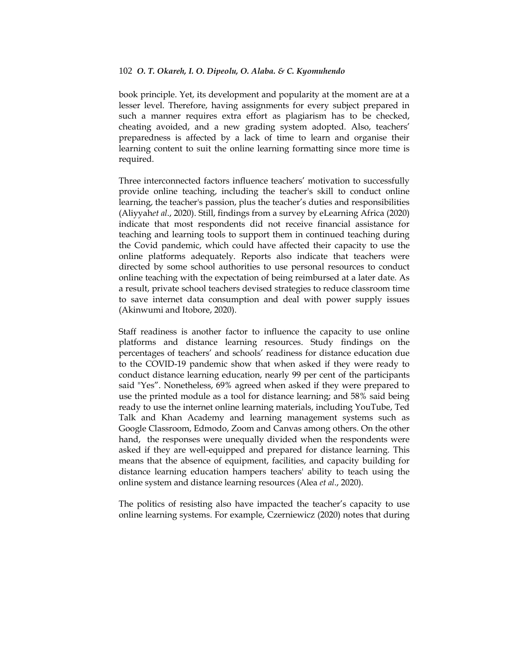book principle. Yet, its development and popularity at the moment are at a lesser level. Therefore, having assignments for every subject prepared in such a manner requires extra effort as plagiarism has to be checked, cheating avoided, and a new grading system adopted. Also, teachers" preparedness is affected by a lack of time to learn and organise their learning content to suit the online learning formatting since more time is required.

Three interconnected factors influence teachers' motivation to successfully provide online teaching, including the teacher's skill to conduct online learning, the teacher's passion, plus the teacher's duties and responsibilities (Aliyyah*et al*., 2020). Still, findings from a survey by eLearning Africa (2020) indicate that most respondents did not receive financial assistance for teaching and learning tools to support them in continued teaching during the Covid pandemic, which could have affected their capacity to use the online platforms adequately. Reports also indicate that teachers were directed by some school authorities to use personal resources to conduct online teaching with the expectation of being reimbursed at a later date. As a result, private school teachers devised strategies to reduce classroom time to save internet data consumption and deal with power supply issues (Akinwumi and Itobore, 2020).

Staff readiness is another factor to influence the capacity to use online platforms and distance learning resources. Study findings on the percentages of teachers" and schools" readiness for distance education due to the COVID-19 pandemic show that when asked if they were ready to conduct distance learning education, nearly 99 per cent of the participants said "Yes". Nonetheless, 69% agreed when asked if they were prepared to use the printed module as a tool for distance learning; and 58% said being ready to use the internet online learning materials, including YouTube, Ted Talk and Khan Academy and learning management systems such as Google Classroom, Edmodo, Zoom and Canvas among others. On the other hand, the responses were unequally divided when the respondents were asked if they are well-equipped and prepared for distance learning. This means that the absence of equipment, facilities, and capacity building for distance learning education hampers teachers' ability to teach using the online system and distance learning resources (Alea *et al*., 2020).

The politics of resisting also have impacted the teacher's capacity to use online learning systems. For example, Czerniewicz (2020) notes that during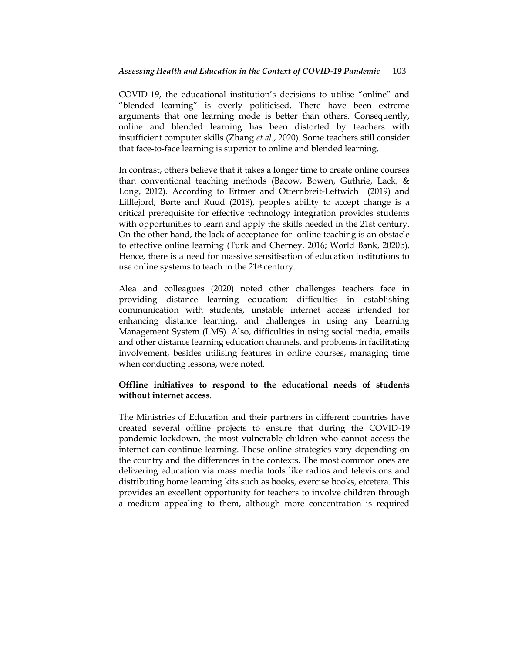COVID-19, the educational institution"s decisions to utilise "online" and "blended learning" is overly politicised. There have been extreme arguments that one learning mode is better than others. Consequently, online and blended learning has been distorted by teachers with insufficient computer skills (Zhang *et al*., 2020). Some teachers still consider that face-to-face learning is superior to online and blended learning.

In contrast, others believe that it takes a longer time to create online courses than conventional teaching methods (Bacow, Bowen, Guthrie, Lack, & Long, 2012). According to Ertmer and Otternbreit-Leftwich (2019) and Lilllejord, Børte and Ruud (2018), people's ability to accept change is a critical prerequisite for effective technology integration provides students with opportunities to learn and apply the skills needed in the 21st century. On the other hand, the lack of acceptance for online teaching is an obstacle to effective online learning (Turk and Cherney, 2016; World Bank, 2020b). Hence, there is a need for massive sensitisation of education institutions to use online systems to teach in the 21st century.

Alea and colleagues (2020) noted other challenges teachers face in providing distance learning education: difficulties in establishing communication with students, unstable internet access intended for enhancing distance learning, and challenges in using any Learning Management System (LMS). Also, difficulties in using social media, emails and other distance learning education channels, and problems in facilitating involvement, besides utilising features in online courses, managing time when conducting lessons, were noted.

# **Offline initiatives to respond to the educational needs of students without internet access**.

The Ministries of Education and their partners in different countries have created several offline projects to ensure that during the COVID-19 pandemic lockdown, the most vulnerable children who cannot access the internet can continue learning. These online strategies vary depending on the country and the differences in the contexts. The most common ones are delivering education via mass media tools like radios and televisions and distributing home learning kits such as books, exercise books, etcetera. This provides an excellent opportunity for teachers to involve children through a medium appealing to them, although more concentration is required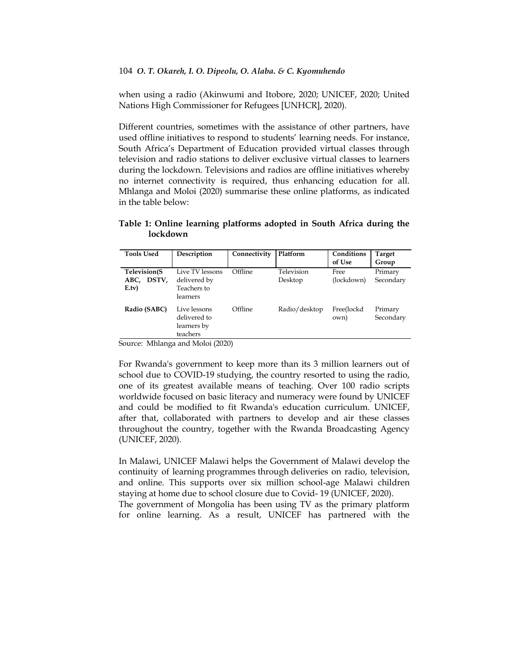when using a radio (Akinwumi and Itobore, 2020; UNICEF, 2020; United Nations High Commissioner for Refugees [UNHCR], 2020).

Different countries, sometimes with the assistance of other partners, have used offline initiatives to respond to students' learning needs. For instance, South Africa"s Department of Education provided virtual classes through television and radio stations to deliver exclusive virtual classes to learners during the lockdown. Televisions and radios are offline initiatives whereby no internet connectivity is required, thus enhancing education for all. Mhlanga and Moloi (2020) summarise these online platforms, as indicated in the table below:

**Table 1: Online learning platforms adopted in South Africa during the lockdown**

| <b>Tools Used</b>                   | Description                                                | Connectivity | Platform              | Conditions<br>of Use | Target<br>Group      |
|-------------------------------------|------------------------------------------------------------|--------------|-----------------------|----------------------|----------------------|
| Television(S<br>ABC, DSTV,<br>E.tv) | Live TV lessons<br>delivered by<br>Teachers to<br>learners | Offline      | Television<br>Desktop | Free<br>(lockdown)   | Primary<br>Secondary |
| Radio (SABC)                        | Live lessons<br>delivered to<br>learners by<br>teachers    | Offline      | Radio/desktop         | Free(lockd<br>own)   | Primary<br>Secondary |

Source: Mhlanga and Moloi (2020)

For Rwanda's government to keep more than its 3 million learners out of school due to COVID-19 studying, the country resorted to using the radio, one of its greatest available means of teaching. Over 100 radio scripts worldwide focused on basic literacy and numeracy were found by UNICEF and could be modified to fit Rwanda's education curriculum. UNICEF, after that, collaborated with partners to develop and air these classes throughout the country, together with the Rwanda Broadcasting Agency (UNICEF, 2020).

In Malawi, UNICEF Malawi helps the Government of Malawi develop the continuity of learning programmes through deliveries on radio, television, and online. This supports over six million school-age Malawi children staying at home due to school closure due to Covid- 19 (UNICEF, 2020). The government of Mongolia has been using TV as the primary platform

for online learning. As a result, UNICEF has partnered with the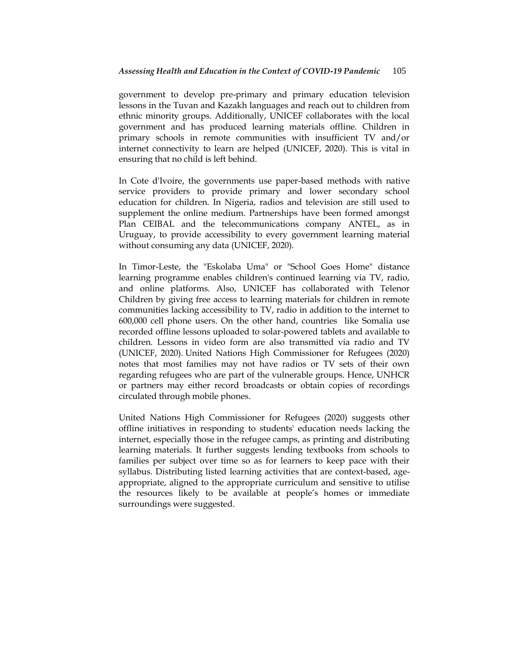government to develop pre-primary and primary education television lessons in the Tuvan and Kazakh languages and reach out to children from ethnic minority groups. Additionally, UNICEF collaborates with the local government and has produced learning materials offline. Children in primary schools in remote communities with insufficient TV and/or internet connectivity to learn are helped (UNICEF, 2020). This is vital in ensuring that no child is left behind.

In Cote d'Ivoire, the governments use paper-based methods with native service providers to provide primary and lower secondary school education for children. In Nigeria, radios and television are still used to supplement the online medium. Partnerships have been formed amongst Plan CEIBAL and the telecommunications company ANTEL, as in Uruguay, to provide accessibility to every government learning material without consuming any data (UNICEF, 2020).

In Timor-Leste, the "Eskolaba Uma" or "School Goes Home" distance learning programme enables children's continued learning via TV, radio, and online platforms. Also, UNICEF has collaborated with Telenor Children by giving free access to learning materials for children in remote communities lacking accessibility to TV, radio in addition to the internet to 600,000 cell phone users. On the other hand, countries like Somalia use recorded offline lessons uploaded to solar-powered tablets and available to children. Lessons in video form are also transmitted via radio and TV (UNICEF, 2020). United Nations High Commissioner for Refugees (2020) notes that most families may not have radios or TV sets of their own regarding refugees who are part of the vulnerable groups. Hence, UNHCR or partners may either record broadcasts or obtain copies of recordings circulated through mobile phones.

United Nations High Commissioner for Refugees (2020) suggests other offline initiatives in responding to students' education needs lacking the internet, especially those in the refugee camps, as printing and distributing learning materials. It further suggests lending textbooks from schools to families per subject over time so as for learners to keep pace with their syllabus. Distributing listed learning activities that are context-based, ageappropriate, aligned to the appropriate curriculum and sensitive to utilise the resources likely to be available at people"s homes or immediate surroundings were suggested.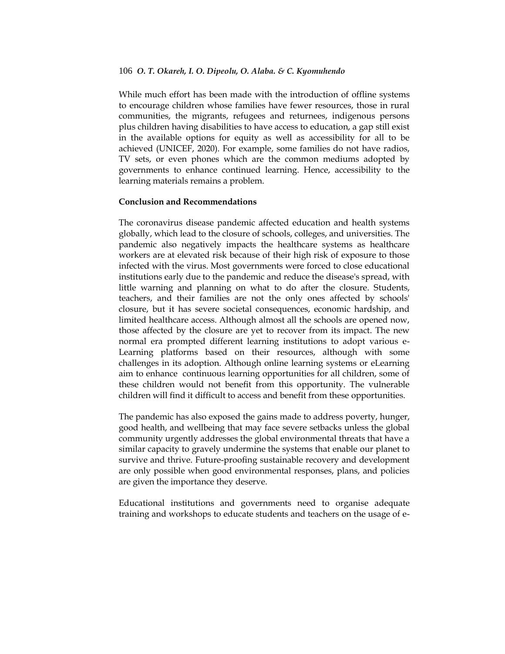While much effort has been made with the introduction of offline systems to encourage children whose families have fewer resources, those in rural communities, the migrants, refugees and returnees, indigenous persons plus children having disabilities to have access to education, a gap still exist in the available options for equity as well as accessibility for all to be achieved (UNICEF, 2020). For example, some families do not have radios, TV sets, or even phones which are the common mediums adopted by governments to enhance continued learning. Hence, accessibility to the learning materials remains a problem.

### **Conclusion and Recommendations**

The coronavirus disease pandemic affected education and health systems globally, which lead to the closure of schools, colleges, and universities. The pandemic also negatively impacts the healthcare systems as healthcare workers are at elevated risk because of their high risk of exposure to those infected with the virus. Most governments were forced to close educational institutions early due to the pandemic and reduce the disease's spread, with little warning and planning on what to do after the closure. Students, teachers, and their families are not the only ones affected by schools' closure, but it has severe societal consequences, economic hardship, and limited healthcare access. Although almost all the schools are opened now, those affected by the closure are yet to recover from its impact. The new normal era prompted different learning institutions to adopt various e-Learning platforms based on their resources, although with some challenges in its adoption. Although online learning systems or eLearning aim to enhance continuous learning opportunities for all children, some of these children would not benefit from this opportunity. The vulnerable children will find it difficult to access and benefit from these opportunities.

The pandemic has also exposed the gains made to address poverty, hunger, good health, and wellbeing that may face severe setbacks unless the global community urgently addresses the global environmental threats that have a similar capacity to gravely undermine the systems that enable our planet to survive and thrive. Future-proofing sustainable recovery and development are only possible when good environmental responses, plans, and policies are given the importance they deserve.

Educational institutions and governments need to organise adequate training and workshops to educate students and teachers on the usage of e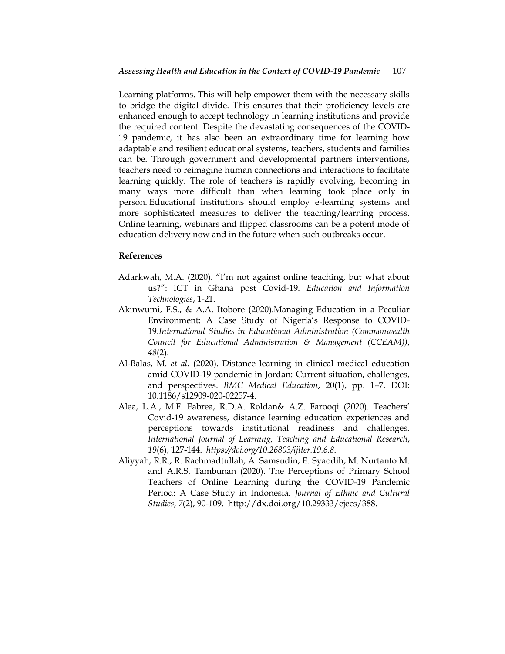Learning platforms. This will help empower them with the necessary skills to bridge the digital divide. This ensures that their proficiency levels are enhanced enough to accept technology in learning institutions and provide the required content. Despite the devastating consequences of the COVID-19 pandemic, it has also been an extraordinary time for learning how adaptable and resilient educational systems, teachers, students and families can be. Through government and developmental partners interventions, teachers need to reimagine human connections and interactions to facilitate learning quickly. The role of teachers is rapidly evolving, becoming in many ways more difficult than when learning took place only in person. Educational institutions should employ e-learning systems and more sophisticated measures to deliver the teaching/learning process. Online learning, webinars and flipped classrooms can be a potent mode of education delivery now and in the future when such outbreaks occur.

# **References**

- Adarkwah, M.A. (2020). "I"m not against online teaching, but what about us?": ICT in Ghana post Covid-19. *Education and Information Technologies*, 1-21.
- Akinwumi, F.S., & A.A. Itobore (2020).Managing Education in a Peculiar Environment: A Case Study of Nigeria's Response to COVID-19.*International Studies in Educational Administration (Commonwealth Council for Educational Administration & Management (CCEAM))*, *48*(2).
- Al-Balas, M. *et al.* (2020). Distance learning in clinical medical education amid COVID-19 pandemic in Jordan: Current situation, challenges, and perspectives. *BMC Medical Education*, 20(1), pp. 1–7. DOI: 10.1186/s12909-020-02257-4.
- Alea, L.A., M.F. Fabrea, R.D.A. Roldan& A.Z. Farooqi (2020). Teachers" Covid-19 awareness, distance learning education experiences and perceptions towards institutional readiness and challenges. *International Journal of Learning, Teaching and Educational Research*, *19*(6), 127-144. *<https://doi.org/10.26803/ijlter.19.6.8>*.
- Aliyyah, R.R., R. Rachmadtullah, A. Samsudin, E. Syaodih, M. Nurtanto M. and A.R.S. Tambunan (2020). The Perceptions of Primary School Teachers of Online Learning during the COVID-19 Pandemic Period: A Case Study in Indonesia. *Journal of Ethnic and Cultural Studies*, *7*(2), 90-109. [http://dx.doi.org/10.29333/ejecs/388.](http://dx.doi.org/10.29333/ejecs/388)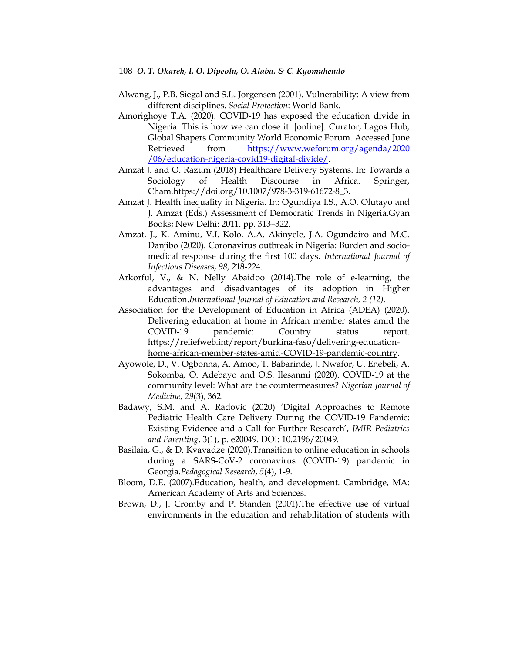- Alwang, J., P.B. Siegal and S.L. Jorgensen (2001). Vulnerability: A view from different disciplines. *Social Protection*: World Bank.
- Amorighoye T.A. (2020). COVID-19 has exposed the education divide in Nigeria. This is how we can close it. [online]. Curator, Lagos Hub, Global Shapers Community.World Economic Forum. Accessed June Retrieved from [https://www.weforum.org/agenda/2020](https://www.weforum.org/agenda/2020%20/06/education-nigeria-covid19-digital-divide/)  [/06/education-nigeria-covid19-digital-divide/.](https://www.weforum.org/agenda/2020%20/06/education-nigeria-covid19-digital-divide/)
- Amzat J. and O. Razum (2018) Healthcare Delivery Systems. In: Towards a Sociology of Health Discourse in Africa. Springer, Cham[.https://doi.org/10.1007/978-3-319-61672-8\\_3.](https://doi.org/10.1007/978-3-319-61672-8_3)
- Amzat J. Health inequality in Nigeria. In: Ogundiya I.S., A.O. Olutayo and J. Amzat (Eds.) Assessment of Democratic Trends in Nigeria.Gyan Books; New Delhi: 2011. pp. 313–322.
- Amzat, J., K. Aminu, V.I. Kolo, A.A. Akinyele, J.A. Ogundairo and M.C. Danjibo (2020). Coronavirus outbreak in Nigeria: Burden and sociomedical response during the first 100 days. *International Journal of Infectious Diseases*, *98*, 218-224.
- Arkorful, V., & N. Nelly Abaidoo (2014).The role of e-learning, the advantages and disadvantages of its adoption in Higher Education.*International Journal of Education and Research, 2 (12).*
- Association for the Development of Education in Africa (ADEA) (2020). Delivering education at home in African member states amid the COVID-19 pandemic: Country status report. [https://reliefweb.int/report/burkina-faso/delivering-education](https://reliefweb.int/report/burkina-faso/delivering-education-home-african-member-states-amid-covid-19-pandemic-country)[home-african-member-states-amid-COVID-19-pandemic-country.](https://reliefweb.int/report/burkina-faso/delivering-education-home-african-member-states-amid-covid-19-pandemic-country)
- Ayowole, D., V. Ogbonna, A. Amoo, T. Babarinde, J. Nwafor, U. Enebeli, A. Sokomba, O. Adebayo and O.S. Ilesanmi (2020). COVID-19 at the community level: What are the countermeasures? *Nigerian Journal of Medicine*, *29*(3), 362.
- Badawy, S.M. and A. Radovic (2020) "Digital Approaches to Remote Pediatric Health Care Delivery During the COVID-19 Pandemic: Existing Evidence and a Call for Further Research", *JMIR Pediatrics and Parenting*, 3(1), p. e20049. DOI: 10.2196/20049.
- Basilaia, G., & D. Kvavadze (2020).Transition to online education in schools during a SARS-CoV-2 coronavirus (COVID-19) pandemic in Georgia.*Pedagogical Research*, *5*(4), 1-9.
- Bloom, D.E. (2007).Education, health, and development. Cambridge, MA: American Academy of Arts and Sciences.
- Brown, D., J. Cromby and P. Standen (2001).The effective use of virtual environments in the education and rehabilitation of students with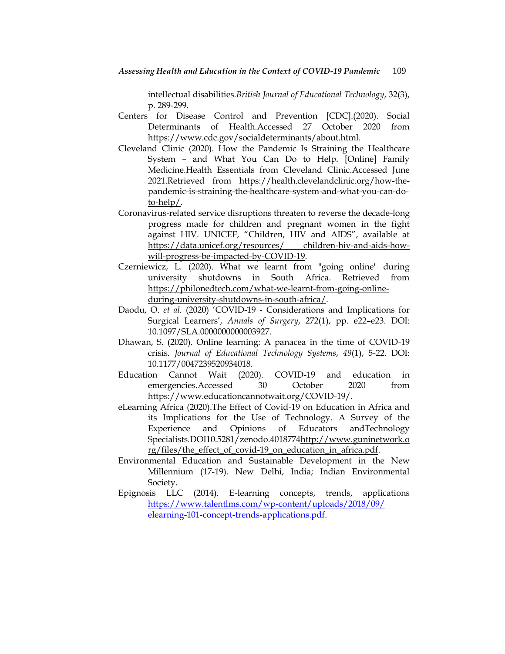intellectual disabilities.*British Journal of Educational Technology*, 32(3), p. 289-299.

- Centers for Disease Control and Prevention [CDC].(2020). Social Determinants of Health.Accessed 27 October 2020 from [https://www.cdc.gov/socialdeterminants/about.html.](https://www.cdc.gov/socialdeterminants/about.html)
- Cleveland Clinic (2020). How the Pandemic Is Straining the Healthcare System – and What You Can Do to Help. [Online] Family Medicine.Health Essentials from Cleveland Clinic.Accessed June 2021.Retrieved from [https://health.clevelandclinic.org/how-the](https://health.clevelandclinic.org/how-the-pandemic-is-straining-the-healthcare-system-and-what-you-can-do-to-help/)[pandemic-is-straining-the-healthcare-system-and-what-you-can-do](https://health.clevelandclinic.org/how-the-pandemic-is-straining-the-healthcare-system-and-what-you-can-do-to-help/)[to-help/.](https://health.clevelandclinic.org/how-the-pandemic-is-straining-the-healthcare-system-and-what-you-can-do-to-help/)
- Coronavirus-related service disruptions threaten to reverse the decade-long progress made for children and pregnant women in the fight against HIV. UNICEF, "Children, HIV and AIDS", available at https://data.unicef.org/resources/ children-hiv-and-aids-howwill-progress-be-impacted-by-COVID-19.
- Czerniewicz, L. (2020). What we learnt from "going online" during university shutdowns in South Africa. Retrieved from [https://philonedtech.com/what-we-learnt-from-going-online](https://philonedtech.com/what-we-learnt-from-going-online-during-university-shutdowns-in-south-africa/)[during-university-shutdowns-in-south-africa/.](https://philonedtech.com/what-we-learnt-from-going-online-during-university-shutdowns-in-south-africa/)
- Daodu, O. *et al.* (2020) "COVID-19 Considerations and Implications for Surgical Learners", *Annals of Surgery*, 272(1), pp. e22–e23. DOI: 10.1097/SLA.0000000000003927.
- Dhawan, S. (2020). Online learning: A panacea in the time of COVID-19 crisis. *Journal of Educational Technology Systems*, *49*(1), 5-22. DOI: 10.1177/0047239520934018.
- Education Cannot Wait (2020). COVID-19 and education in emergencies.Accessed 30 October 2020 from https://www.educationcannotwait.org/COVID-19/.
- eLearning Africa (2020).The Effect of Covid-19 on Education in Africa and its Implications for the Use of Technology. A Survey of the Experience and Opinions of Educators andTechnology Specialists.DOI10.5281/zenodo.401877[4http://www.guninetwork.o](http://www.guninetwork.org/files/the_effect_of_covid-19_on_education_in_africa.pdf) [rg/files/the\\_effect\\_of\\_covid-19\\_on\\_education\\_in\\_africa.pdf.](http://www.guninetwork.org/files/the_effect_of_covid-19_on_education_in_africa.pdf)
- Environmental Education and Sustainable Development in the New Millennium (17-19). New Delhi, India; Indian Environmental Society.
- Epignosis LLC (2014). E-learning concepts, trends, applications [https://www.talentlms.com/wp-content/uploads/2018/09/](https://www.talentlms.com/wp-content/uploads/2018/09/%20elearning-101-concept-trends-applications.pdf)  [elearning-101-concept-trends-applications.pdf.](https://www.talentlms.com/wp-content/uploads/2018/09/%20elearning-101-concept-trends-applications.pdf)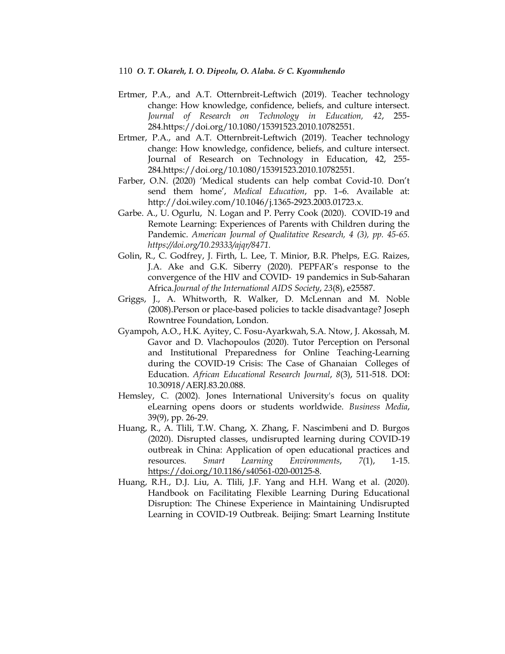- Ertmer, P.A., and A.T. Otternbreit-Leftwich (2019). Teacher technology change: How knowledge, confidence, beliefs, and culture intersect. *Journal of Research on Technology in Education, 42*, 255- 284.https://doi.org/10.1080/15391523.2010.10782551.
- Ertmer, P.A., and A.T. Otternbreit-Leftwich (2019). Teacher technology change: How knowledge, confidence, beliefs, and culture intersect. Journal of Research on Technology in Education, 42, 255- 284.https://doi.org/10.1080/15391523.2010.10782551.
- Farber, O.N. (2020) 'Medical students can help combat Covid-10. Don't send them home", *Medical Education*, pp. 1–6. Available at: http://doi.wiley.com/10.1046/j.1365-2923.2003.01723.x.
- Garbe. A., U. Ogurlu, N. Logan and P. Perry Cook (2020). COVID-19 and Remote Learning: Experiences of Parents with Children during the Pandemic. *American Journal of Qualitative Research, 4 (3), pp. 45-65. https://doi.org/10.29333/ajqr/8471.*
- Golin, R., C. Godfrey, J. Firth, L. Lee, T. Minior, B.R. Phelps, E.G. Raizes, J.A. Ake and G.K. Siberry (2020). PEPFAR's response to the convergence of the HIV and COVID‐ 19 pandemics in Sub-Saharan Africa.*Journal of the International AIDS Society*, *23*(8), e25587.
- Griggs, J., A. Whitworth, R. Walker, D. McLennan and M. Noble (2008).Person or place-based policies to tackle disadvantage? Joseph Rowntree Foundation, London.
- Gyampoh, A.O., H.K. Ayitey, C. Fosu-Ayarkwah, S.A. Ntow, J. Akossah, M. Gavor and D. Vlachopoulos (2020). Tutor Perception on Personal and Institutional Preparedness for Online Teaching-Learning during the COVID-19 Crisis: The Case of Ghanaian Colleges of Education. *African Educational Research Journal*, *8*(3), 511-518. DOI: 10.30918/AERJ.83.20.088.
- Hemsley, C. (2002). Jones International University's focus on quality eLearning opens doors or students worldwide. *Business Media*, 39(9), pp. 26-29.
- Huang, R., A. Tlili, T.W. Chang, X. Zhang, F. Nascimbeni and D. Burgos (2020). Disrupted classes, undisrupted learning during COVID-19 outbreak in China: Application of open educational practices and resources. *Smart Learning Environments*, *7*(1), 1-15. [https://doi.org/10.1186/s40561-020-00125-8.](https://doi.org/10.1186/s40561-020-00125-8)
- Huang, R.H., D.J. Liu, A. Tlili, J.F. Yang and H.H. Wang et al. (2020). Handbook on Facilitating Flexible Learning During Educational Disruption: The Chinese Experience in Maintaining Undisrupted Learning in COVID-19 Outbreak. Beijing: Smart Learning Institute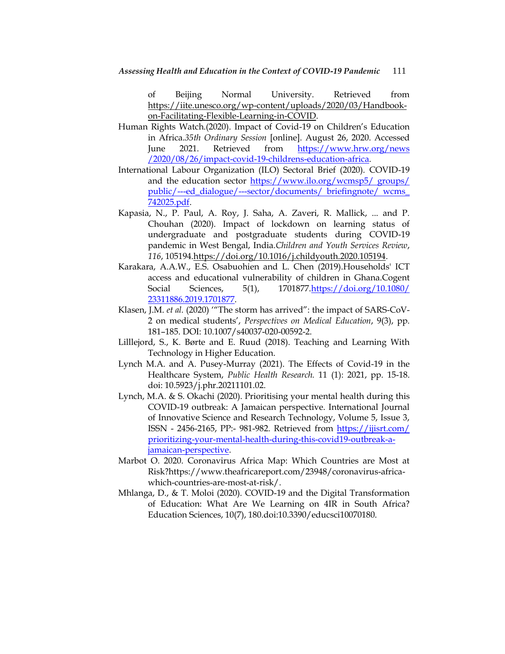of Beijing Normal University. Retrieved from [https://iite.unesco.org/wp-content/uploads/2020/03/Handbook](https://iite.unesco.org/wp-content/uploads/2020/03/Handbook-on-Facilitating-Flexible-Learning-in-COVID)[on-Facilitating-Flexible-Learning-in-COVID.](https://iite.unesco.org/wp-content/uploads/2020/03/Handbook-on-Facilitating-Flexible-Learning-in-COVID)

- Human Rights Watch.(2020). Impact of Covid-19 on Children"s Education in Africa.*35th Ordinary Session* [online]. August 26, 2020. Accessed June 2021. Retrieved from [https://www.hrw.org/news](https://www.hrw.org/news%20/2020/08/26/impact-covid-19-childrens-education-africa)  [/2020/08/26/impact-covid-19-childrens-education-africa.](https://www.hrw.org/news%20/2020/08/26/impact-covid-19-childrens-education-africa)
- International Labour Organization (ILO) Sectoral Brief (2020). COVID-19 and the education sector [https://www.ilo.org/wcmsp5/ groups/](https://www.ilo.org/wcmsp5/%20groups/%20public/---ed_dialogue/---sector/documents/%20briefingnote/%20wcms_%20742025.pdf)  [public/---ed\\_dialogue/---sector/documents/ briefingnote/ wcms\\_](https://www.ilo.org/wcmsp5/%20groups/%20public/---ed_dialogue/---sector/documents/%20briefingnote/%20wcms_%20742025.pdf)  [742025.pdf.](https://www.ilo.org/wcmsp5/%20groups/%20public/---ed_dialogue/---sector/documents/%20briefingnote/%20wcms_%20742025.pdf)
- Kapasia, N., P. Paul, A. Roy, J. Saha, A. Zaveri, R. Mallick, ... and P. Chouhan (2020). Impact of lockdown on learning status of undergraduate and postgraduate students during COVID-19 pandemic in West Bengal, India.*Children and Youth Services Review*, *116*, 10519[4.https://doi.org/10.1016/j.childyouth.2020.105194.](https://doi.org/10.1016/j.childyouth.2020.105194)
- Karakara, A.A.W., E.S. Osabuohien and L. Chen (2019).Households' ICT access and educational vulnerability of children in Ghana.Cogent Social Sciences, 5(1), 1701877[.https://doi.org/10.1080/](https://doi.org/10.1080/%2023311886.2019.1701877)  [23311886.2019.1701877.](https://doi.org/10.1080/%2023311886.2019.1701877)
- Klasen, J.M. *et al.* (2020) ""The storm has arrived": the impact of SARS-CoV-2 on medical students", *Perspectives on Medical Education*, 9(3), pp. 181–185. DOI: 10.1007/s40037-020-00592-2.
- Lilllejord, S., K. Børte and E. Ruud (2018). Teaching and Learning With Technology in Higher Education.
- Lynch M.A. and A. Pusey-Murray (2021). The Effects of Covid-19 in the Healthcare System, *Public Health Research.* 11 (1): 2021, pp. 15-18. doi: 10.5923/j.phr.20211101.02.
- Lynch, M.A. & S. Okachi (2020). Prioritising your mental health during this COVID-19 outbreak: A Jamaican perspective. International Journal of Innovative Science and Research Technology, Volume 5, Issue 3, ISSN - 2456-2165, PP:- 981-982. Retrieved from [https://ijisrt.com/](https://ijisrt.com/%20prioritizing-your-mental-health-during-this-covid19-outbreak-a-jamaican-perspective)  [prioritizing-your-mental-health-during-this-covid19-outbreak-a](https://ijisrt.com/%20prioritizing-your-mental-health-during-this-covid19-outbreak-a-jamaican-perspective)[jamaican-perspective.](https://ijisrt.com/%20prioritizing-your-mental-health-during-this-covid19-outbreak-a-jamaican-perspective)
- Marbot O. 2020. Coronavirus Africa Map: Which Countries are Most at Risk?https://www.theafricareport.com/23948/coronavirus-africawhich-countries-are-most-at-risk/.
- Mhlanga, D., & T. Moloi (2020). COVID-19 and the Digital Transformation of Education: What Are We Learning on 4IR in South Africa? Education Sciences, 10(7), 180.doi:10.3390/educsci10070180.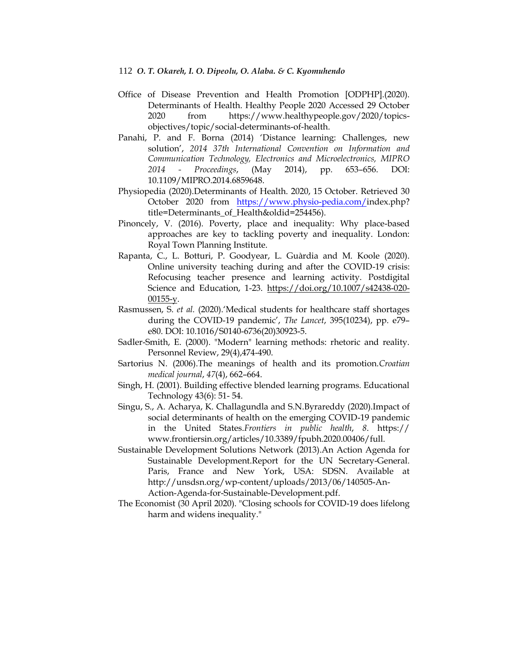- Office of Disease Prevention and Health Promotion [ODPHP].(2020). Determinants of Health. Healthy People 2020 Accessed 29 October 2020 from https://www.healthypeople.gov/2020/topicsobjectives/topic/social-determinants-of-health.
- Panahi, P. and F. Borna (2014) "Distance learning: Challenges, new solution", *2014 37th International Convention on Information and Communication Technology, Electronics and Microelectronics, MIPRO 2014 - Proceedings*, (May 2014), pp. 653–656. DOI: 10.1109/MIPRO.2014.6859648.
- Physiopedia (2020).Determinants of Health. 2020, 15 October. Retrieved 30 October 2020 from [https://www.physio-pedia.com/i](https://www.physio-pedia.com/)ndex.php? title=Determinants\_of\_Health&oldid=254456).
- Pinoncely, V. (2016). Poverty, place and inequality: Why place-based approaches are key to tackling poverty and inequality. London: Royal Town Planning Institute.
- Rapanta, C., L. Botturi, P. Goodyear, L. Guàrdia and M. Koole (2020). Online university teaching during and after the COVID-19 crisis: Refocusing teacher presence and learning activity. Postdigital Science and Education, 1-23. [https://doi.org/10.1007/s42438-020-](https://doi.org/10.1007/s42438-020-00155-y) [00155-y.](https://doi.org/10.1007/s42438-020-00155-y)
- Rasmussen, S. *et al.* (2020).'Medical students for healthcare staff shortages during the COVID-19 pandemic", *The Lancet*, 395(10234), pp. e79– e80. DOI: 10.1016/S0140-6736(20)30923-5.
- Sadler-Smith, E. (2000). "Modern" learning methods: rhetoric and reality. Personnel Review, 29(4),474-490.
- Sartorius N. (2006).The meanings of health and its promotion.*Croatian medical journal*, *47*(4), 662–664.
- Singh, H. (2001). Building effective blended learning programs. Educational Technology 43(6): 51- 54.
- Singu, S., A. Acharya, K. Challagundla and S.N.Byrareddy (2020).Impact of social determinants of health on the emerging COVID-19 pandemic in the United States.*Frontiers in public health*, *8*. https:// www.frontiersin.org/articles/10.3389/fpubh.2020.00406/full.
- Sustainable Development Solutions Network (2013).An Action Agenda for Sustainable Development.Report for the UN Secretary-General. Paris, France and New York, USA: SDSN. Available at http://unsdsn.org/wp-content/uploads/2013/06/140505-An-Action-Agenda-for-Sustainable-Development.pdf.
- The Economist (30 April 2020). "Closing schools for COVID-19 does lifelong harm and widens inequality."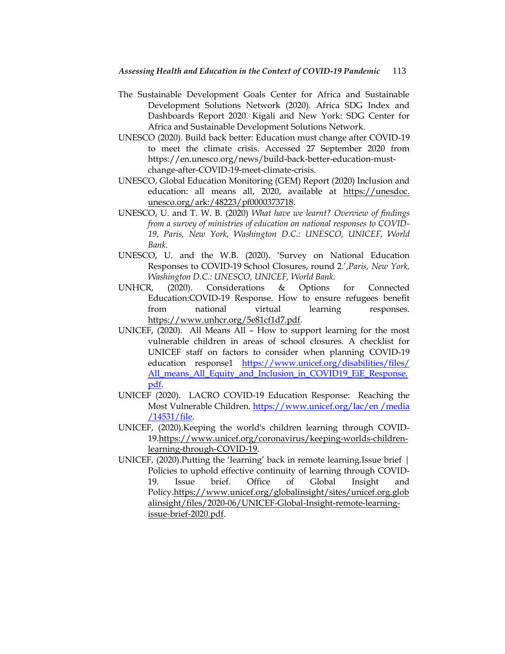- The Sustainable Development Goals Center for Africa and Sustainable Development Solutions Network (2020). Africa SDG Index and Dashboards Report 2020. Kigali and New York: SDG Center for Africa and Sustainable Development Solutions Network.
- UNESCO (2020). Build back better: Education must change after COVID-19 to meet the climate crisis. Accessed 27 September 2020 from https://en.unesco.org/news/build-back-better-education-mustchange-after-COVID-19-meet-climate-crisis.
- UNESCO, Global Education Monitoring (GEM) Report (2020) Inclusion and education: all means all, 2020, available at https://unesdoc. unesco.org/ark:/48223/pf0000373718.
- UNESCO, U. and T. W. B. (2020) *What have we learnt? Overview of findings from a survey of ministries of education on national responses to COVID-19*, *Paris, New York, Washington D.C.: UNESCO, UNICEF, World Bank.*
- UNESCO, U. and the W.B. (2020). "Survey on National Education Responses to COVID-19 School Closures, round 2.",*Paris, New York, Washington D.C.: UNESCO, UNICEF, World Bank.*
- UNHCR, (2020). Considerations & Options for Connected Education:COVID-19 Response. How to ensure refugees benefit from national virtual learning responses. [https://www.unhcr.org/5e81cf1d7.pdf.](https://www.unhcr.org/5e81cf1d7.pdf)
- UNICEF, (2020). All Means All How to support learning for the most vulnerable children in areas of school closures. A checklist for UNICEF staff on factors to consider when planning COVID-19 education response1 [https://www.unicef.org/disabilities/files/](https://www.unicef.org/disabilities/files/%20All_means_All_Equity_and_Inclusion_in_COVID19_EiE_Response.pdf) [All\\_means\\_All\\_Equity\\_and\\_Inclusion\\_in\\_COVID19\\_EiE\\_Response.](https://www.unicef.org/disabilities/files/%20All_means_All_Equity_and_Inclusion_in_COVID19_EiE_Response.pdf) [pdf.](https://www.unicef.org/disabilities/files/%20All_means_All_Equity_and_Inclusion_in_COVID19_EiE_Response.pdf)
- UNICEF (2020). LACRO COVID-19 Education Response: Reaching the Most Vulnerable Children. [https://www.unicef.org/lac/en /media](https://www.unicef.org/lac/en%20/media%20/14531/file)  [/14531/file.](https://www.unicef.org/lac/en%20/media%20/14531/file)
- UNICEF, (2020).Keeping the world's children learning through COVID-19[.https://www.unicef.org/coronavirus/keeping-worlds-children](https://www.unicef.org/coronavirus/keeping-worlds-children-learning-through-covid-19)[learning-through-COVID-19.](https://www.unicef.org/coronavirus/keeping-worlds-children-learning-through-covid-19)
- UNICEF, (2020).Putting the "learning" back in remote learning.Issue brief | Policies to uphold effective continuity of learning through COVID-19. Issue brief. Office of Global Insight and Policy[.https://www.unicef.org/globalinsight/sites/unicef.org.glob](https://www.unicef.org/globalinsight/sites/unicef.org.globalinsight/files/2020-06/UNICEF-Global-Insight-remote-learning-issue-brief-2020.pdf) [alinsight/files/2020-06/UNICEF-Global-Insight-remote-learning](https://www.unicef.org/globalinsight/sites/unicef.org.globalinsight/files/2020-06/UNICEF-Global-Insight-remote-learning-issue-brief-2020.pdf)[issue-brief-2020.pdf.](https://www.unicef.org/globalinsight/sites/unicef.org.globalinsight/files/2020-06/UNICEF-Global-Insight-remote-learning-issue-brief-2020.pdf)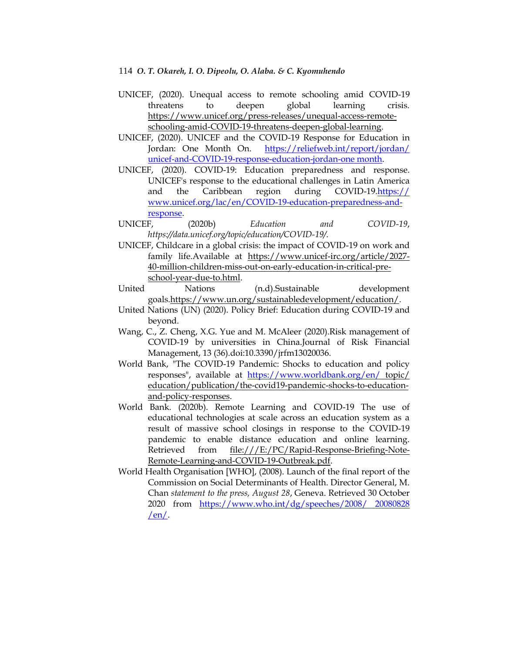- UNICEF, (2020). Unequal access to remote schooling amid COVID-19 threatens to deepen global learning crisis. [https://www.unicef.org/press-releases/unequal-access-remote](https://www.unicef.org/press-releases/unequal-access-remote-schooling-amid-covid-19-threatens-deepen-global-learning)[schooling-amid-COVID-19-threatens-deepen-global-learning.](https://www.unicef.org/press-releases/unequal-access-remote-schooling-amid-covid-19-threatens-deepen-global-learning)
- UNICEF, (2020). UNICEF and the COVID-19 Response for Education in Jordan: One Month On. [https://reliefweb.int/report/jordan/](https://reliefweb.int/report/jordan/%20unicef-and-COVID-19-response-education-jordan-one%20month)  [unicef-and-COVID-19-response-education-jordan-one month.](https://reliefweb.int/report/jordan/%20unicef-and-COVID-19-response-education-jordan-one%20month)
- UNICEF, (2020). COVID-19: Education preparedness and response. UNICEF's response to the educational challenges in Latin America and the Caribbean region during COVID-19.https:// www.unicef.org/lac/en/COVID-19-education-preparedness-andresponse.
- UNICEF, (2020b) *Education and COVID-19*, *https://data.unicef.org/topic/education/COVID-19/*.
- UNICEF, Childcare in a global crisis: the impact of COVID-19 on work and family life.Available at [https://www.unicef-irc.org/article/2027-](https://www.unicef-irc.org/article/2027-40-million-children-miss-out-on-early-education-in-critical-pre-school-year-due-to.html) [40-million-children-miss-out-on-early-education-in-critical-pre](https://www.unicef-irc.org/article/2027-40-million-children-miss-out-on-early-education-in-critical-pre-school-year-due-to.html)[school-year-due-to.html.](https://www.unicef-irc.org/article/2027-40-million-children-miss-out-on-early-education-in-critical-pre-school-year-due-to.html)
- United Nations (n.d).Sustainable development goals[.https://www.un.org/sustainabledevelopment/education/.](https://www.un.org/sustainabledevelopment/education/)
- United Nations (UN) (2020). Policy Brief: Education during COVID-19 and beyond.
- Wang, C., Z. Cheng, X.G. Yue and M. McAleer (2020).Risk management of COVID-19 by universities in China.Journal of Risk Financial Management, 13 (36).doi:10.3390/jrfm13020036.
- World Bank, "The COVID-19 Pandemic: Shocks to education and policy responses", available at <https://www.worldbank.org/en/> topic/ education/publication/the-covid19-pandemic-shocks-to-educationand-policy-responses.
- World Bank. (2020b). Remote Learning and COVID-19 The use of educational technologies at scale across an education system as a result of massive school closings in response to the COVID-19 pandemic to enable distance education and online learning. Retrieved from [file:///E:/PC/Rapid-Response-Briefing-Note-](file:///E:/PC/Rapid-Response-Briefing-Note-Remote-Learning-and-COVID-19-Outbreak.pdf)[Remote-Learning-and-COVID-19-Outbreak.pdf.](file:///E:/PC/Rapid-Response-Briefing-Note-Remote-Learning-and-COVID-19-Outbreak.pdf)
- World Health Organisation [WHO], (2008). Launch of the final report of the Commission on Social Determinants of Health. Director General, M. Chan *statement to the press, August 28*, Geneva. Retrieved 30 October 2020 from [https://www.who.int/dg/speeches/2008/ 20080828](https://www.who.int/dg/speeches/2008/%2020080828%20/en/)   $/en/$ .